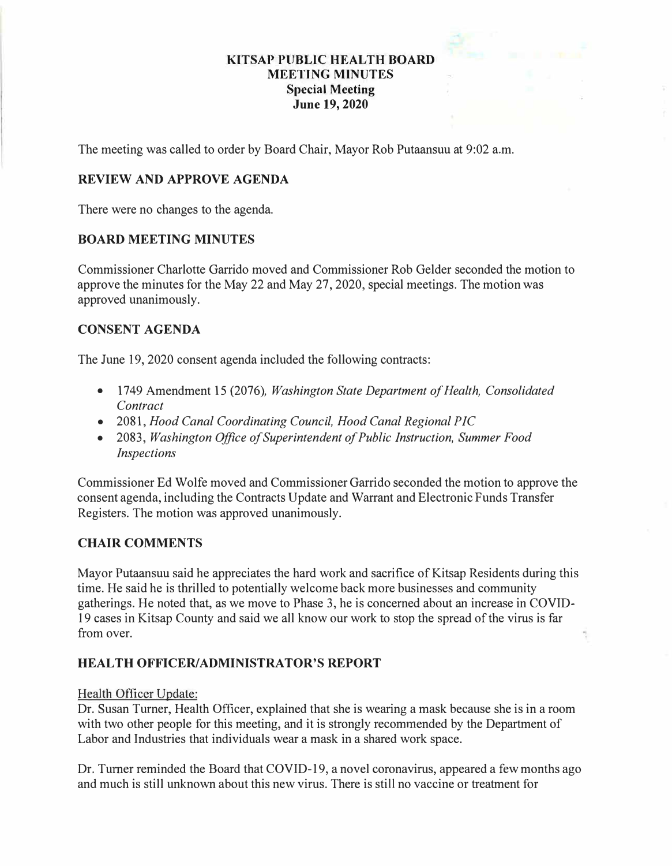# **KITSAP PUBLIC HEAL TH BOARD MEETING MINUTES Special Meeting June 19, 2020**

The meeting was called to order by Board Chair, Mayor Rob Putaansuu at 9:02 a.m.

# **REVIEW AND APPROVE AGENDA**

There were no changes to the agenda.

### **BOARD MEETING MINUTES**

Commissioner Charlotte Garrido moved and Commissioner Rob Gelder seconded the motion to approve the minutes for the May 22 and May 27, 2020, special meetings. The motion was approved unanimously.

## **CONSENT AGENDA**

The June 19, 2020 consent agenda included the following contracts:

- 1749 Amendment 15 (2076), *Washington State Department of Health, Consolidated Contract*
- 2081, *Hood Canal Coordinating Council, Hood Canal Regional PIC*
- 2083, *Washington Office of Superintendent of Public Instruction, Summer Food Inspections*

Commissioner Ed Wolfe moved and Commissioner Garrido seconded the motion to approve the consent agenda, including the Contracts Update and Warrant and Electronic Funds Transfer Registers. The motion was approved unanimously.

## **CHAIR COMMENTS**

Mayor Putaansuu said he appreciates the hard work and sacrifice of Kitsap Residents during this time. He said he is thrilled to potentially welcome back more businesses and community gatherings. He noted that, as we move to Phase 3, he is concerned about an increase in COVID-19 cases in Kitsap County and said we all know our work to stop the spread of the virus is far from over.

## **HEALTH OFFICER/ADMINISTRATOR'S REPORT**

#### Health Officer Update:

Dr. Susan Turner, Health Officer, explained that she is wearing a mask because she is in a room with two other people for this meeting, and it is strongly recommended by the Department of Labor and Industries that individuals wear a mask in a shared work space.

Dr. Turner reminded the Board that COVID-19, a novel coronavirus, appeared a few months ago and much is still unknown about this new virus. There is still no vaccine or treatment for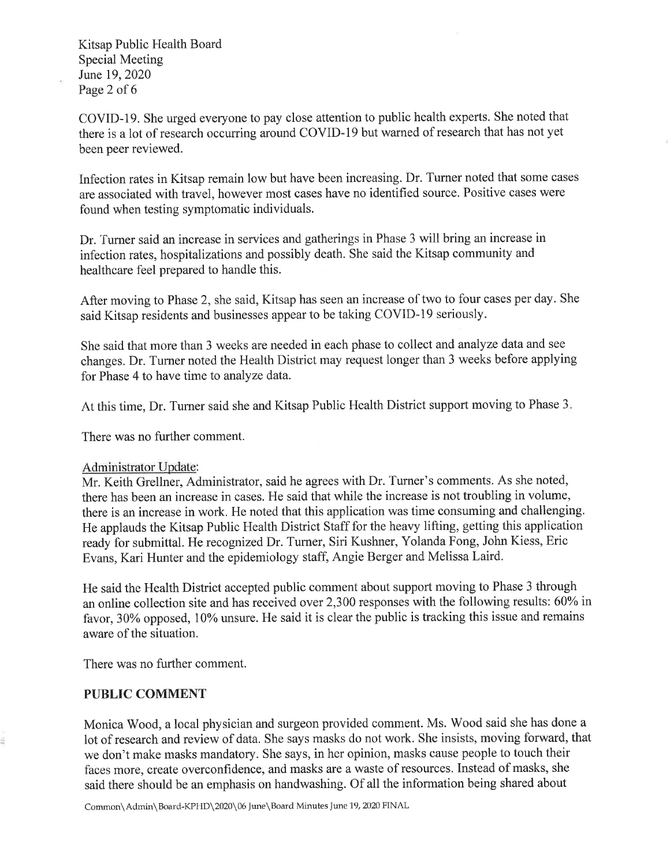Kitsap Public Health Board **Special Meeting** June 19, 2020 Page 2 of 6

COVID-19. She urged everyone to pay close attention to public health experts. She noted that there is a lot of research occurring around COVID-19 but warned of research that has not yet been peer reviewed.

Infection rates in Kitsap remain low but have been increasing. Dr. Turner noted that some cases are associated with travel, however most cases have no identified source. Positive cases were found when testing symptomatic individuals.

Dr. Turner said an increase in services and gatherings in Phase 3 will bring an increase in infection rates, hospitalizations and possibly death. She said the Kitsap community and healthcare feel prepared to handle this.

After moving to Phase 2, she said, Kitsap has seen an increase of two to four cases per day. She said Kitsap residents and businesses appear to be taking COVID-19 seriously.

She said that more than 3 weeks are needed in each phase to collect and analyze data and see changes. Dr. Turner noted the Health District may request longer than 3 weeks before applying for Phase 4 to have time to analyze data.

At this time, Dr. Turner said she and Kitsap Public Health District support moving to Phase 3.

There was no further comment.

#### Administrator Update:

Mr. Keith Grellner, Administrator, said he agrees with Dr. Turner's comments. As she noted, there has been an increase in cases. He said that while the increase is not troubling in volume, there is an increase in work. He noted that this application was time consuming and challenging. He applauds the Kitsap Public Health District Staff for the heavy lifting, getting this application ready for submittal. He recognized Dr. Turner, Siri Kushner, Yolanda Fong, John Kiess, Eric Evans, Kari Hunter and the epidemiology staff, Angie Berger and Melissa Laird.

He said the Health District accepted public comment about support moving to Phase 3 through an online collection site and has received over 2,300 responses with the following results: 60% in favor, 30% opposed, 10% unsure. He said it is clear the public is tracking this issue and remains aware of the situation.

There was no further comment.

#### **PUBLIC COMMENT**

Monica Wood, a local physician and surgeon provided comment. Ms. Wood said she has done a lot of research and review of data. She says masks do not work. She insists, moving forward, that we don't make masks mandatory. She says, in her opinion, masks cause people to touch their faces more, create overconfidence, and masks are a waste of resources. Instead of masks, she said there should be an emphasis on handwashing. Of all the information being shared about

Common\Admin\Board-KPHD\2020\06 June\Board Minutes June 19, 2020 FINAL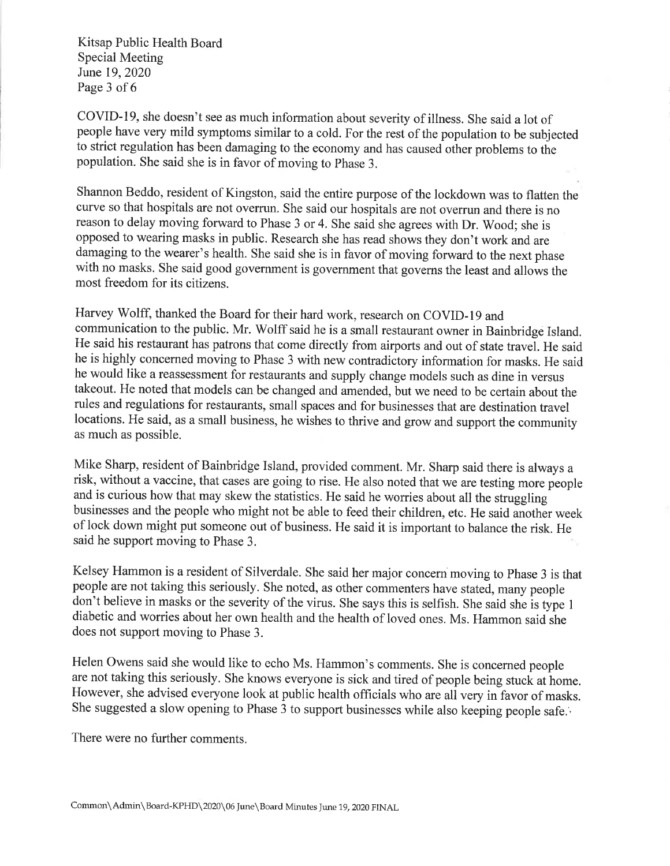Kitsap Public Health Board Special Meeting June 19, 2020 Page 3 of 6

COVID-19, she doesn't see as much information about severity of illness. She said a lot of people have very mild symptoms similar to a cold. For the rest of the population to be subjected to strict regulation has been damaging to the economy and has caused other problems to the population. She said she is in favor of moving to Phase 3.

Shannon Beddo, resident of Kingston, said the entire purpose of the lockdown was to flatten the curve so that hospitals are not overrun. She said our hospitals are not overrun and there is no reason to delay moving forward to Phase 3 or 4. She said she agrees with Dr. Wood; she is opposed to wearing masks in public. Research she has read shows they don't work and are damaging to the wearer's health. She said she is in favor of moving forward to the next phase with no masks. She said good government is government that governs the least and allows the most freedom for its citizens.

Harvey Wolff, thanked the Board for their hard work, research on COVID-19 and communication to the public. Mr. Wolff said he is a small restaurant owner in Bainbridge Island. He said his restaurant has patrons that come directly from airports and out of state travel. He said he is highly concerned moving to Phase 3 with new contradictory information for masks. He said he would like a reassessment for restaurants and supply change models such as dine in versus takeout. He noted that models can be changed and amended, but we need to be certain about the rules and regulations for restaurants, small spaces and for businesses that are destination travel locations. He said, as a small business, he wishes to thrive and grow and support the community as much as possible.

Mike Sharp, resident of Bainbridge Island, provided comment. Mr. Sharp said there is always a risk, without a vaccine, that cases are going to rise. He also noted that we are testing more people and is curious how that may skew the statistics. He said he worries about all the struggling businesses and the people who might not be able to feed their children, etc. He said another week of lock down might put someone out of business. He said it is important to balance the risk. He said he support moving to Phase 3.

Kelsey Hammon is a resident of Silverdale. She said her major concern moving to Phase 3 is that people are not taking this seriously. She noted, as other commenters have stated, many people don't believe in masks or the severity of the virus. She says this is selfish. She said she is type 1 diabetic and worries about her own health and the health of loved ones. Ms. Hammon said she does not support moving to Phase 3.

Helen Owens said she would like to echo Ms. Hammon's comments. She is concerned people are not taking this seriously. She knows everyone is sick and tired of people being stuck at home. However, she advised everyone look at public health officials who are all very in favor of masks. She suggested a slow opening to Phase 3 to support businesses while also keeping people safe.

There were no further comments.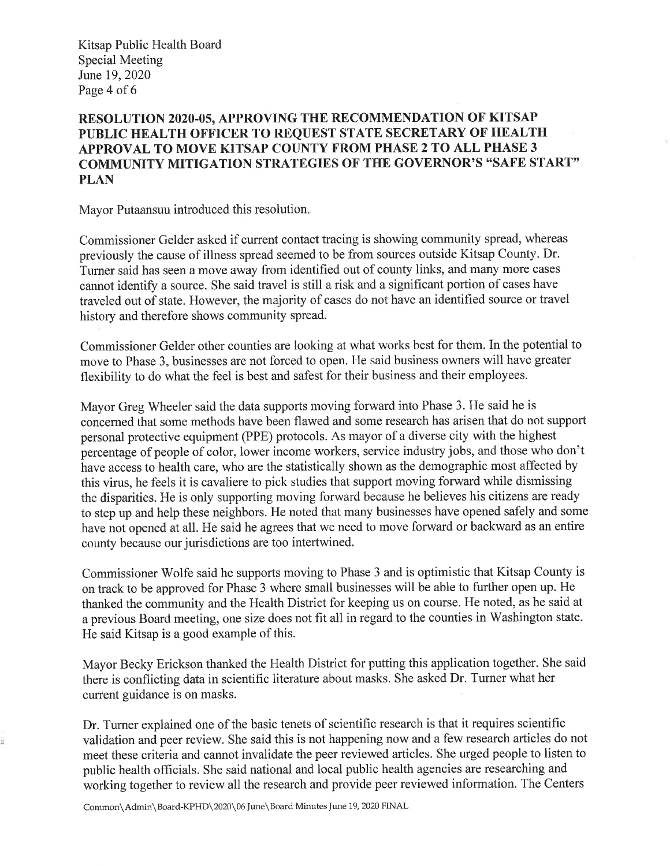Kitsap Public Health Board **Special Meeting** June 19, 2020 Page 4 of 6

# RESOLUTION 2020-05, APPROVING THE RECOMMENDATION OF KITSAP PUBLIC HEALTH OFFICER TO REQUEST STATE SECRETARY OF HEALTH APPROVAL TO MOVE KITSAP COUNTY FROM PHASE 2 TO ALL PHASE 3 **COMMUNITY MITIGATION STRATEGIES OF THE GOVERNOR'S "SAFE START" PLAN**

Mayor Putaansuu introduced this resolution.

Commissioner Gelder asked if current contact tracing is showing community spread, whereas previously the cause of illness spread seemed to be from sources outside Kitsap County. Dr. Turner said has seen a move away from identified out of county links, and many more cases cannot identify a source. She said travel is still a risk and a significant portion of cases have traveled out of state. However, the majority of cases do not have an identified source or travel history and therefore shows community spread.

Commissioner Gelder other counties are looking at what works best for them. In the potential to move to Phase 3, businesses are not forced to open. He said business owners will have greater flexibility to do what the feel is best and safest for their business and their employees.

Mayor Greg Wheeler said the data supports moving forward into Phase 3. He said he is concerned that some methods have been flawed and some research has arisen that do not support personal protective equipment (PPE) protocols. As mayor of a diverse city with the highest percentage of people of color, lower income workers, service industry jobs, and those who don't have access to health care, who are the statistically shown as the demographic most affected by this virus, he feels it is cavaliere to pick studies that support moving forward while dismissing the disparities. He is only supporting moving forward because he believes his citizens are ready to step up and help these neighbors. He noted that many businesses have opened safely and some have not opened at all. He said he agrees that we need to move forward or backward as an entire county because our jurisdictions are too intertwined.

Commissioner Wolfe said he supports moving to Phase 3 and is optimistic that Kitsap County is on track to be approved for Phase 3 where small businesses will be able to further open up. He thanked the community and the Health District for keeping us on course. He noted, as he said at a previous Board meeting, one size does not fit all in regard to the counties in Washington state. He said Kitsap is a good example of this.

Mayor Becky Erickson thanked the Health District for putting this application together. She said there is conflicting data in scientific literature about masks. She asked Dr. Turner what her current guidance is on masks.

Dr. Turner explained one of the basic tenets of scientific research is that it requires scientific validation and peer review. She said this is not happening now and a few research articles do not meet these criteria and cannot invalidate the peer reviewed articles. She urged people to listen to public health officials. She said national and local public health agencies are researching and working together to review all the research and provide peer reviewed information. The Centers

Common\Admin\Board-KPHD\2020\06 June\Board Minutes June 19, 2020 FINAL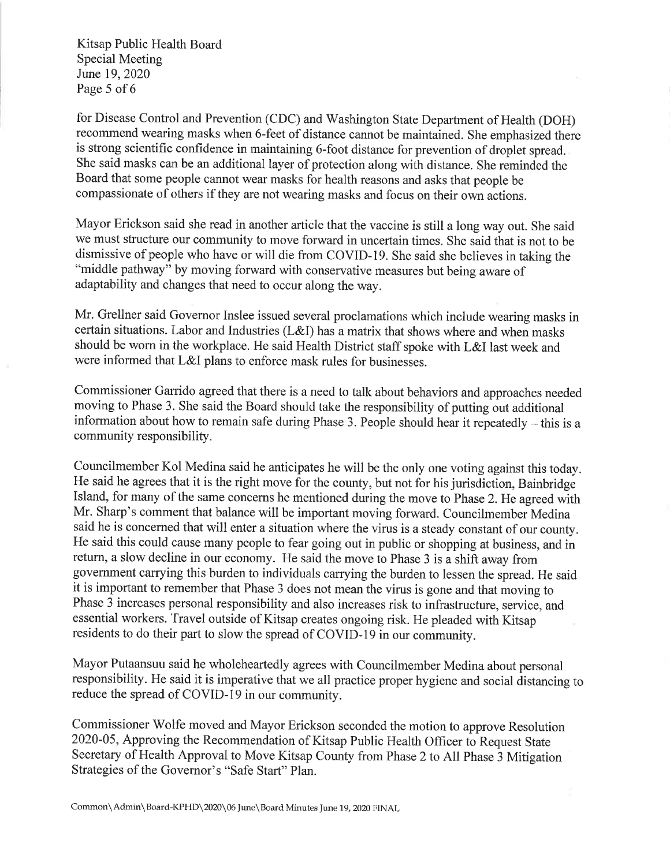Kitsap Public Health Board **Special Meeting** June 19, 2020 Page 5 of 6

for Disease Control and Prevention (CDC) and Washington State Department of Health (DOH) recommend wearing masks when 6-feet of distance cannot be maintained. She emphasized there is strong scientific confidence in maintaining 6-foot distance for prevention of droplet spread. She said masks can be an additional layer of protection along with distance. She reminded the Board that some people cannot wear masks for health reasons and asks that people be compassionate of others if they are not wearing masks and focus on their own actions.

Mayor Erickson said she read in another article that the vaccine is still a long way out. She said we must structure our community to move forward in uncertain times. She said that is not to be dismissive of people who have or will die from COVID-19. She said she believes in taking the "middle pathway" by moving forward with conservative measures but being aware of adaptability and changes that need to occur along the way.

Mr. Grellner said Governor Inslee issued several proclamations which include wearing masks in certain situations. Labor and Industries (L&I) has a matrix that shows where and when masks should be worn in the workplace. He said Health District staff spoke with L&I last week and were informed that L&I plans to enforce mask rules for businesses.

Commissioner Garrido agreed that there is a need to talk about behaviors and approaches needed moving to Phase 3. She said the Board should take the responsibility of putting out additional information about how to remain safe during Phase 3. People should hear it repeatedly – this is a community responsibility.

Councilmember Kol Medina said he anticipates he will be the only one voting against this today. He said he agrees that it is the right move for the county, but not for his jurisdiction, Bainbridge Island, for many of the same concerns he mentioned during the move to Phase 2. He agreed with Mr. Sharp's comment that balance will be important moving forward. Councilmember Medina said he is concerned that will enter a situation where the virus is a steady constant of our county. He said this could cause many people to fear going out in public or shopping at business, and in return, a slow decline in our economy. He said the move to Phase 3 is a shift away from government carrying this burden to individuals carrying the burden to lessen the spread. He said it is important to remember that Phase 3 does not mean the virus is gone and that moving to Phase  $\hat{3}$  increases personal responsibility and also increases risk to infrastructure, service, and essential workers. Travel outside of Kitsap creates ongoing risk. He pleaded with Kitsap residents to do their part to slow the spread of COVID-19 in our community.

Mayor Putaansuu said he wholeheartedly agrees with Councilmember Medina about personal responsibility. He said it is imperative that we all practice proper hygiene and social distancing to reduce the spread of COVID-19 in our community.

Commissioner Wolfe moved and Mayor Erickson seconded the motion to approve Resolution 2020-05, Approving the Recommendation of Kitsap Public Health Officer to Request State Secretary of Health Approval to Move Kitsap County from Phase 2 to All Phase 3 Mitigation Strategies of the Governor's "Safe Start" Plan.